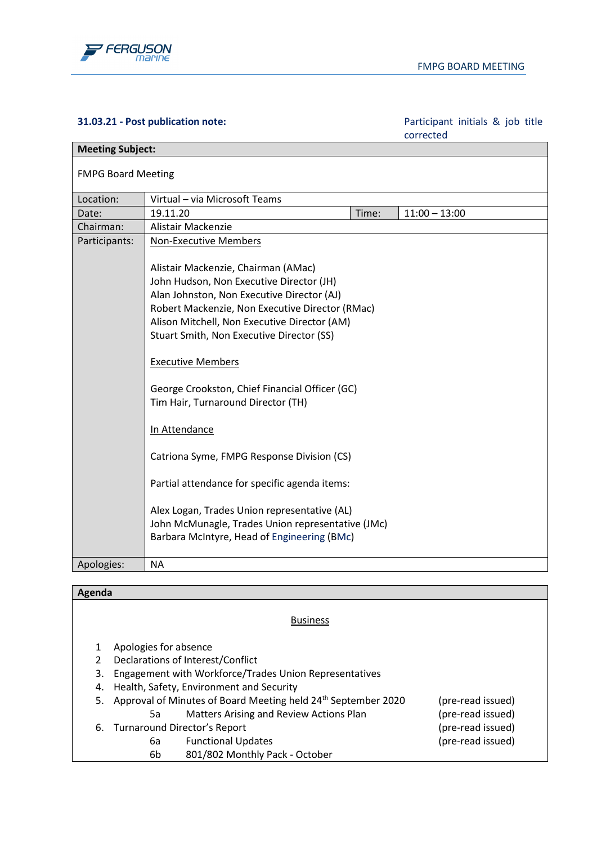

## **31.03.21 - Post publication note:** Participant initials & job title

corrected

| <b>Meeting Subject:</b>   |                                                                                                                                                                                                                                                                                                                                                                                                                                                                                                                                                                                                                                                                                                       |       |                 |
|---------------------------|-------------------------------------------------------------------------------------------------------------------------------------------------------------------------------------------------------------------------------------------------------------------------------------------------------------------------------------------------------------------------------------------------------------------------------------------------------------------------------------------------------------------------------------------------------------------------------------------------------------------------------------------------------------------------------------------------------|-------|-----------------|
| <b>FMPG Board Meeting</b> |                                                                                                                                                                                                                                                                                                                                                                                                                                                                                                                                                                                                                                                                                                       |       |                 |
| Location:                 | Virtual - via Microsoft Teams                                                                                                                                                                                                                                                                                                                                                                                                                                                                                                                                                                                                                                                                         |       |                 |
| Date:                     | 19.11.20                                                                                                                                                                                                                                                                                                                                                                                                                                                                                                                                                                                                                                                                                              | Time: | $11:00 - 13:00$ |
| Chairman:                 | Alistair Mackenzie                                                                                                                                                                                                                                                                                                                                                                                                                                                                                                                                                                                                                                                                                    |       |                 |
| Participants:             | <b>Non-Executive Members</b><br>Alistair Mackenzie, Chairman (AMac)<br>John Hudson, Non Executive Director (JH)<br>Alan Johnston, Non Executive Director (AJ)<br>Robert Mackenzie, Non Executive Director (RMac)<br>Alison Mitchell, Non Executive Director (AM)<br>Stuart Smith, Non Executive Director (SS)<br><b>Executive Members</b><br>George Crookston, Chief Financial Officer (GC)<br>Tim Hair, Turnaround Director (TH)<br>In Attendance<br>Catriona Syme, FMPG Response Division (CS)<br>Partial attendance for specific agenda items:<br>Alex Logan, Trades Union representative (AL)<br>John McMunagle, Trades Union representative (JMc)<br>Barbara McIntyre, Head of Engineering (BMc) |       |                 |
| Apologies:                | <b>NA</b>                                                                                                                                                                                                                                                                                                                                                                                                                                                                                                                                                                                                                                                                                             |       |                 |

| <b>Agenda</b> |  |
|---------------|--|
|               |  |
|               |  |
|               |  |

**Business** 

- 1 Apologies for absence
- 2 Declarations of Interest/Conflict
- 3. Engagement with Workforce/Trades Union Representatives
- 4. Health, Safety, Environment and Security
- 5. Approval of Minutes of Board Meeting held 24<sup>th</sup> September 2020 (pre-read issued)
- 5a Matters Arising and Review Actions Plan (pre-read issued) 6. Turnaround Director's Report (pre-read issued)
	- 6a Functional Updates (pre-read issued)
		- 6b 801/802 Monthly Pack October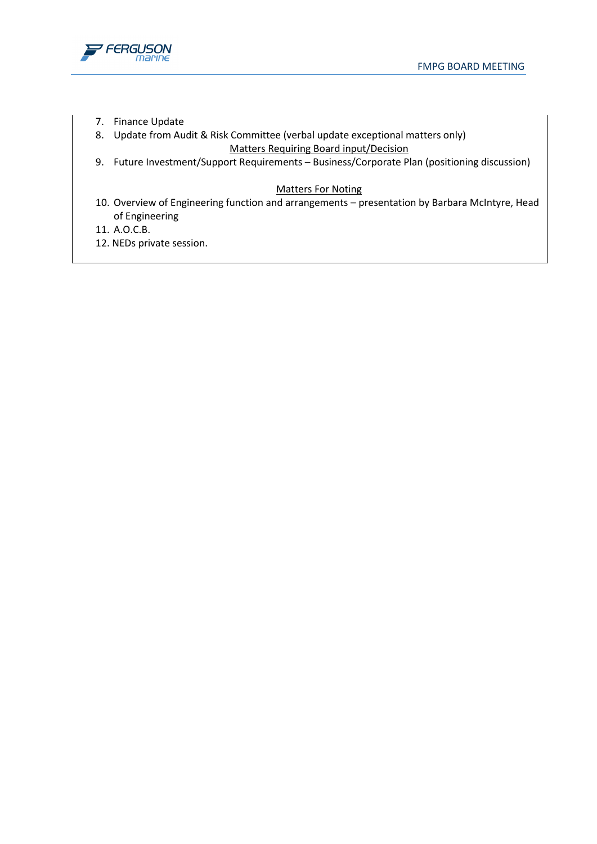

- 7. Finance Update
- 8. Update from Audit & Risk Committee (verbal update exceptional matters only) Matters Requiring Board input/Decision
- 9. Future Investment/Support Requirements Business/Corporate Plan (positioning discussion)

## Matters For Noting

- 10. Overview of Engineering function and arrangements presentation by Barbara McIntyre, Head of Engineering
- 11. A.O.C.B.
- 12. NEDs private session.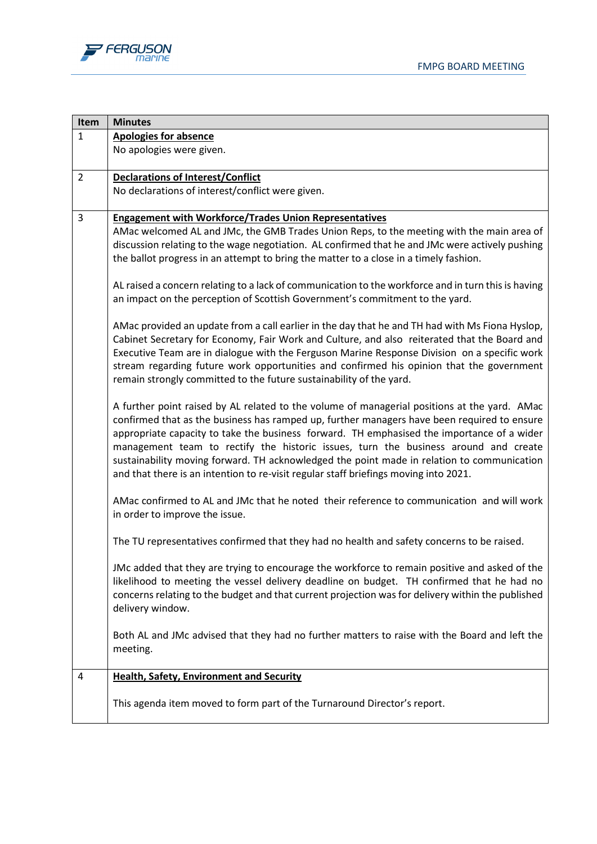

| <b>Minutes</b>                                                                                                                                                                                                                                                                                                                                                                                                                                                                                                                                                                                                                                                                                                                                                                                                                                                                                                                                                                                                                                                                                                                                                                                                                                                                                                                                                                                                                                                                                                                                                                                                                                                                                                                                                                                                                                                                                                                                                                                                                                                                                                                                                                                                                                     |
|----------------------------------------------------------------------------------------------------------------------------------------------------------------------------------------------------------------------------------------------------------------------------------------------------------------------------------------------------------------------------------------------------------------------------------------------------------------------------------------------------------------------------------------------------------------------------------------------------------------------------------------------------------------------------------------------------------------------------------------------------------------------------------------------------------------------------------------------------------------------------------------------------------------------------------------------------------------------------------------------------------------------------------------------------------------------------------------------------------------------------------------------------------------------------------------------------------------------------------------------------------------------------------------------------------------------------------------------------------------------------------------------------------------------------------------------------------------------------------------------------------------------------------------------------------------------------------------------------------------------------------------------------------------------------------------------------------------------------------------------------------------------------------------------------------------------------------------------------------------------------------------------------------------------------------------------------------------------------------------------------------------------------------------------------------------------------------------------------------------------------------------------------------------------------------------------------------------------------------------------------|
| <b>Apologies for absence</b>                                                                                                                                                                                                                                                                                                                                                                                                                                                                                                                                                                                                                                                                                                                                                                                                                                                                                                                                                                                                                                                                                                                                                                                                                                                                                                                                                                                                                                                                                                                                                                                                                                                                                                                                                                                                                                                                                                                                                                                                                                                                                                                                                                                                                       |
| No apologies were given.                                                                                                                                                                                                                                                                                                                                                                                                                                                                                                                                                                                                                                                                                                                                                                                                                                                                                                                                                                                                                                                                                                                                                                                                                                                                                                                                                                                                                                                                                                                                                                                                                                                                                                                                                                                                                                                                                                                                                                                                                                                                                                                                                                                                                           |
| <b>Declarations of Interest/Conflict</b>                                                                                                                                                                                                                                                                                                                                                                                                                                                                                                                                                                                                                                                                                                                                                                                                                                                                                                                                                                                                                                                                                                                                                                                                                                                                                                                                                                                                                                                                                                                                                                                                                                                                                                                                                                                                                                                                                                                                                                                                                                                                                                                                                                                                           |
| No declarations of interest/conflict were given.                                                                                                                                                                                                                                                                                                                                                                                                                                                                                                                                                                                                                                                                                                                                                                                                                                                                                                                                                                                                                                                                                                                                                                                                                                                                                                                                                                                                                                                                                                                                                                                                                                                                                                                                                                                                                                                                                                                                                                                                                                                                                                                                                                                                   |
| <b>Engagement with Workforce/Trades Union Representatives</b><br>AMac welcomed AL and JMc, the GMB Trades Union Reps, to the meeting with the main area of<br>discussion relating to the wage negotiation. AL confirmed that he and JMc were actively pushing<br>the ballot progress in an attempt to bring the matter to a close in a timely fashion.<br>AL raised a concern relating to a lack of communication to the workforce and in turn this is having<br>an impact on the perception of Scottish Government's commitment to the yard.<br>AMac provided an update from a call earlier in the day that he and TH had with Ms Fiona Hyslop,<br>Cabinet Secretary for Economy, Fair Work and Culture, and also reiterated that the Board and<br>Executive Team are in dialogue with the Ferguson Marine Response Division on a specific work<br>stream regarding future work opportunities and confirmed his opinion that the government<br>remain strongly committed to the future sustainability of the yard.<br>A further point raised by AL related to the volume of managerial positions at the yard. AMac<br>confirmed that as the business has ramped up, further managers have been required to ensure<br>appropriate capacity to take the business forward. TH emphasised the importance of a wider<br>management team to rectify the historic issues, turn the business around and create<br>sustainability moving forward. TH acknowledged the point made in relation to communication<br>and that there is an intention to re-visit regular staff briefings moving into 2021.<br>AMac confirmed to AL and JMc that he noted their reference to communication and will work<br>in order to improve the issue.<br>The TU representatives confirmed that they had no health and safety concerns to be raised.<br>JMc added that they are trying to encourage the workforce to remain positive and asked of the<br>likelihood to meeting the vessel delivery deadline on budget. TH confirmed that he had no<br>concerns relating to the budget and that current projection was for delivery within the published<br>delivery window.<br>Both AL and JMc advised that they had no further matters to raise with the Board and left the |
| meeting.<br><b>Health, Safety, Environment and Security</b>                                                                                                                                                                                                                                                                                                                                                                                                                                                                                                                                                                                                                                                                                                                                                                                                                                                                                                                                                                                                                                                                                                                                                                                                                                                                                                                                                                                                                                                                                                                                                                                                                                                                                                                                                                                                                                                                                                                                                                                                                                                                                                                                                                                        |
|                                                                                                                                                                                                                                                                                                                                                                                                                                                                                                                                                                                                                                                                                                                                                                                                                                                                                                                                                                                                                                                                                                                                                                                                                                                                                                                                                                                                                                                                                                                                                                                                                                                                                                                                                                                                                                                                                                                                                                                                                                                                                                                                                                                                                                                    |
| This agenda item moved to form part of the Turnaround Director's report.                                                                                                                                                                                                                                                                                                                                                                                                                                                                                                                                                                                                                                                                                                                                                                                                                                                                                                                                                                                                                                                                                                                                                                                                                                                                                                                                                                                                                                                                                                                                                                                                                                                                                                                                                                                                                                                                                                                                                                                                                                                                                                                                                                           |
|                                                                                                                                                                                                                                                                                                                                                                                                                                                                                                                                                                                                                                                                                                                                                                                                                                                                                                                                                                                                                                                                                                                                                                                                                                                                                                                                                                                                                                                                                                                                                                                                                                                                                                                                                                                                                                                                                                                                                                                                                                                                                                                                                                                                                                                    |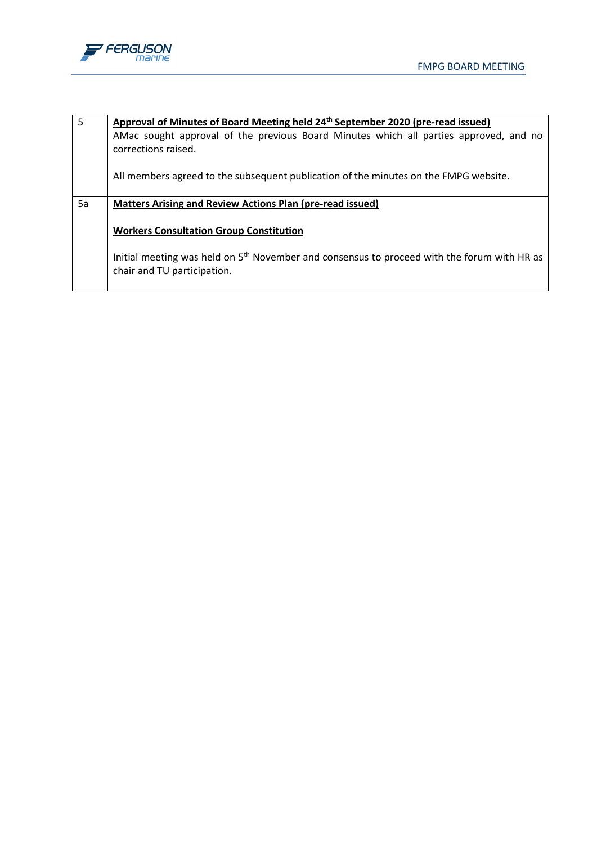

| $\overline{5}$ | Approval of Minutes of Board Meeting held 24 <sup>th</sup> September 2020 (pre-read issued)                                  |
|----------------|------------------------------------------------------------------------------------------------------------------------------|
|                | AMac sought approval of the previous Board Minutes which all parties approved, and no<br>corrections raised.                 |
|                | All members agreed to the subsequent publication of the minutes on the FMPG website.                                         |
| 5a             | Matters Arising and Review Actions Plan (pre-read issued)                                                                    |
|                | <b>Workers Consultation Group Constitution</b>                                                                               |
|                | Initial meeting was held on $5th$ November and consensus to proceed with the forum with HR as<br>chair and TU participation. |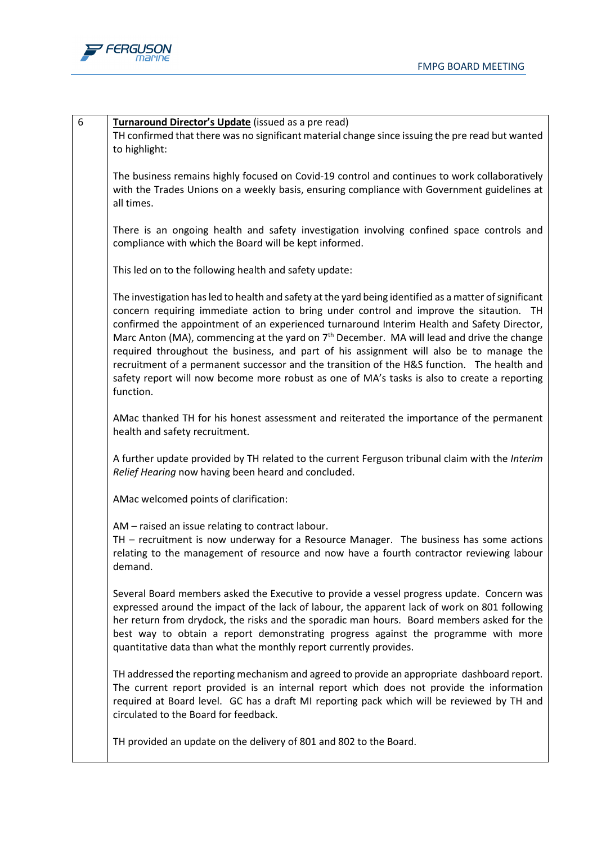

| 6 | Turnaround Director's Update (issued as a pre read)<br>TH confirmed that there was no significant material change since issuing the pre read but wanted<br>to highlight:                                                                                                                                                                                                                                                                                                                                                                                                                                                                                                                                         |
|---|------------------------------------------------------------------------------------------------------------------------------------------------------------------------------------------------------------------------------------------------------------------------------------------------------------------------------------------------------------------------------------------------------------------------------------------------------------------------------------------------------------------------------------------------------------------------------------------------------------------------------------------------------------------------------------------------------------------|
|   | The business remains highly focused on Covid-19 control and continues to work collaboratively<br>with the Trades Unions on a weekly basis, ensuring compliance with Government guidelines at<br>all times.                                                                                                                                                                                                                                                                                                                                                                                                                                                                                                       |
|   | There is an ongoing health and safety investigation involving confined space controls and<br>compliance with which the Board will be kept informed.                                                                                                                                                                                                                                                                                                                                                                                                                                                                                                                                                              |
|   | This led on to the following health and safety update:                                                                                                                                                                                                                                                                                                                                                                                                                                                                                                                                                                                                                                                           |
|   | The investigation has led to health and safety at the yard being identified as a matter of significant<br>concern requiring immediate action to bring under control and improve the sitaution. TH<br>confirmed the appointment of an experienced turnaround Interim Health and Safety Director,<br>Marc Anton (MA), commencing at the yard on 7 <sup>th</sup> December. MA will lead and drive the change<br>required throughout the business, and part of his assignment will also be to manage the<br>recruitment of a permanent successor and the transition of the H&S function. The health and<br>safety report will now become more robust as one of MA's tasks is also to create a reporting<br>function. |
|   | AMac thanked TH for his honest assessment and reiterated the importance of the permanent<br>health and safety recruitment.                                                                                                                                                                                                                                                                                                                                                                                                                                                                                                                                                                                       |
|   | A further update provided by TH related to the current Ferguson tribunal claim with the Interim<br>Relief Hearing now having been heard and concluded.                                                                                                                                                                                                                                                                                                                                                                                                                                                                                                                                                           |
|   | AMac welcomed points of clarification:                                                                                                                                                                                                                                                                                                                                                                                                                                                                                                                                                                                                                                                                           |
|   | AM - raised an issue relating to contract labour.<br>TH - recruitment is now underway for a Resource Manager. The business has some actions<br>relating to the management of resource and now have a fourth contractor reviewing labour<br>demand.                                                                                                                                                                                                                                                                                                                                                                                                                                                               |
|   | Several Board members asked the Executive to provide a vessel progress update. Concern was<br>expressed around the impact of the lack of labour, the apparent lack of work on 801 following<br>her return from drydock, the risks and the sporadic man hours. Board members asked for the<br>best way to obtain a report demonstrating progress against the programme with more<br>quantitative data than what the monthly report currently provides.                                                                                                                                                                                                                                                            |
|   | TH addressed the reporting mechanism and agreed to provide an appropriate dashboard report.<br>The current report provided is an internal report which does not provide the information<br>required at Board level. GC has a draft MI reporting pack which will be reviewed by TH and<br>circulated to the Board for feedback.                                                                                                                                                                                                                                                                                                                                                                                   |
|   | TH provided an update on the delivery of 801 and 802 to the Board.                                                                                                                                                                                                                                                                                                                                                                                                                                                                                                                                                                                                                                               |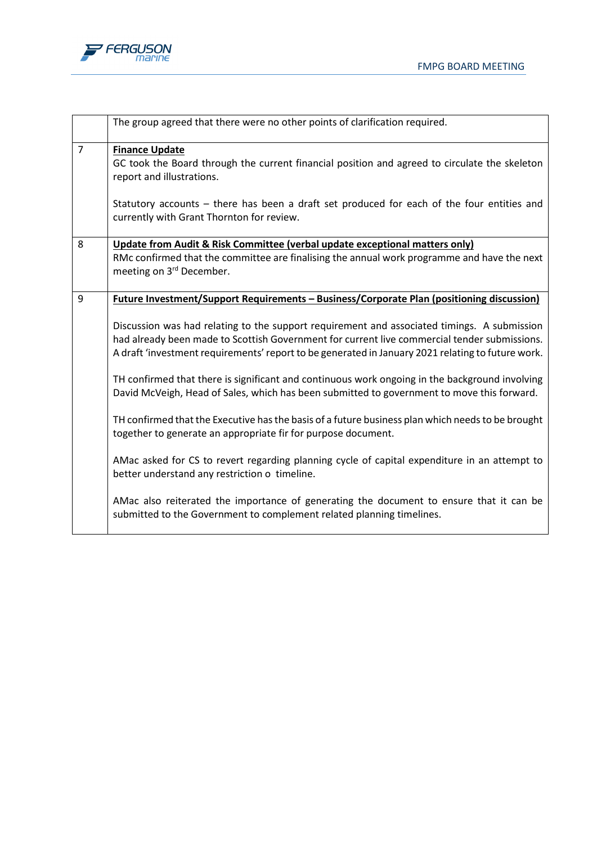



|                | The group agreed that there were no other points of clarification required.                                                                                                                                                                                                                      |
|----------------|--------------------------------------------------------------------------------------------------------------------------------------------------------------------------------------------------------------------------------------------------------------------------------------------------|
| $\overline{7}$ | <b>Finance Update</b><br>GC took the Board through the current financial position and agreed to circulate the skeleton<br>report and illustrations.                                                                                                                                              |
|                | Statutory accounts – there has been a draft set produced for each of the four entities and<br>currently with Grant Thornton for review.                                                                                                                                                          |
| 8              | Update from Audit & Risk Committee (verbal update exceptional matters only)                                                                                                                                                                                                                      |
|                | RMc confirmed that the committee are finalising the annual work programme and have the next<br>meeting on 3rd December.                                                                                                                                                                          |
| 9              | <b>Future Investment/Support Requirements - Business/Corporate Plan (positioning discussion)</b>                                                                                                                                                                                                 |
|                | Discussion was had relating to the support requirement and associated timings. A submission<br>had already been made to Scottish Government for current live commercial tender submissions.<br>A draft 'investment requirements' report to be generated in January 2021 relating to future work. |
|                | TH confirmed that there is significant and continuous work ongoing in the background involving<br>David McVeigh, Head of Sales, which has been submitted to government to move this forward.                                                                                                     |
|                | TH confirmed that the Executive has the basis of a future business plan which needs to be brought<br>together to generate an appropriate fir for purpose document.                                                                                                                               |
|                | AMac asked for CS to revert regarding planning cycle of capital expenditure in an attempt to<br>better understand any restriction o timeline.                                                                                                                                                    |
|                | AMac also reiterated the importance of generating the document to ensure that it can be<br>submitted to the Government to complement related planning timelines.                                                                                                                                 |